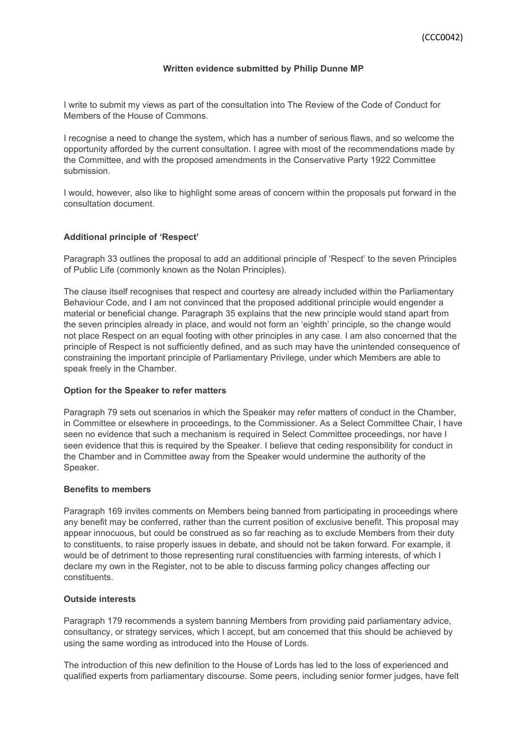#### **Written evidence submitted by Philip Dunne MP**

I write to submit my views as part of the consultation into The Review of the Code of Conduct for Members of the House of Commons.

I recognise a need to change the system, which has a number of serious flaws, and so welcome the opportunity afforded by the current consultation. I agree with most of the recommendations made by the Committee, and with the proposed amendments in the Conservative Party 1922 Committee submission.

I would, however, also like to highlight some areas of concern within the proposals put forward in the consultation document.

### **Additional principle of 'Respect'**

Paragraph 33 outlines the proposal to add an additional principle of 'Respect' to the seven Principles of Public Life (commonly known as the Nolan Principles).

The clause itself recognises that respect and courtesy are already included within the Parliamentary Behaviour Code, and I am not convinced that the proposed additional principle would engender a material or beneficial change. Paragraph 35 explains that the new principle would stand apart from the seven principles already in place, and would not form an 'eighth' principle, so the change would not place Respect on an equal footing with other principles in any case. I am also concerned that the principle of Respect is not sufficiently defined, and as such may have the unintended consequence of constraining the important principle of Parliamentary Privilege, under which Members are able to speak freely in the Chamber.

#### **Option for the Speaker to refer matters**

Paragraph 79 sets out scenarios in which the Speaker may refer matters of conduct in the Chamber, in Committee or elsewhere in proceedings, to the Commissioner. As a Select Committee Chair, I have seen no evidence that such a mechanism is required in Select Committee proceedings, nor have I seen evidence that this is required by the Speaker. I believe that ceding responsibility for conduct in the Chamber and in Committee away from the Speaker would undermine the authority of the Speaker.

#### **Benefits to members**

Paragraph 169 invites comments on Members being banned from participating in proceedings where any benefit may be conferred, rather than the current position of exclusive benefit. This proposal may appear innocuous, but could be construed as so far reaching as to exclude Members from their duty to constituents, to raise properly issues in debate, and should not be taken forward. For example, it would be of detriment to those representing rural constituencies with farming interests, of which I declare my own in the Register, not to be able to discuss farming policy changes affecting our constituents.

# **Outside interests**

Paragraph 179 recommends a system banning Members from providing paid parliamentary advice, consultancy, or strategy services, which I accept, but am concerned that this should be achieved by using the same wording as introduced into the House of Lords.

The introduction of this new definition to the House of Lords has led to the loss of experienced and qualified experts from parliamentary discourse. Some peers, including senior former judges, have felt